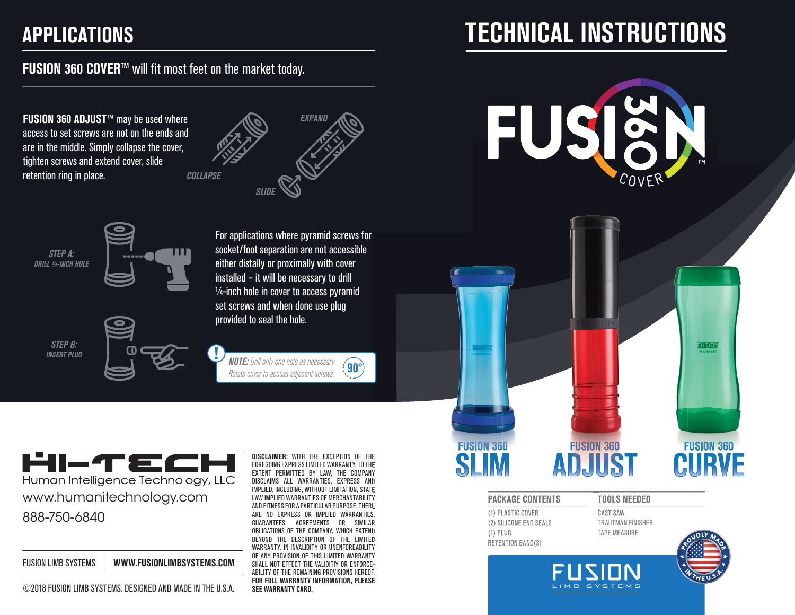# **FUSION 360 COVER**™ will fit most feet on the market today.

**FUSION 360 ADJUST**™ may be used where access to set screws are not on the ends and are in the middle. Simply collapse the cover, tighten screws and extend cover, slide retention ring in place.







*STEP B: INSERT PLUG*



For applications where pyramid screws for socket/foot separation are not accessible either distally or proximally with cover installed – it will be necessary to drill  $1/4$ -inch hole in cover to access pyramid set screws and when done use plug provided to seal the hole.



W

*NOTE: Drill only one hole as necessary. Rotate cover to access adjacent screws.* **90°**

HI-TECI Human Intelligence Technology, LLC www.humanitechnology.com 888-750-6840

| <b>FUSION LIMB SYSTEMS</b> | WWW.FUSIONLIMBSYSTEMS.COM |
|----------------------------|---------------------------|
|----------------------------|---------------------------|



**DISCLAIMER:** WITH THE EXCEPTION OF THE FOREGOING EXPRESS LIMITED WARRANTY, TO THE EXTENT PERMITTED BY LAW, THE COMPANY DISCLAIMS ALL WARRANTIES, EXPRESS AND IMPLIED, INCLUDING, WITHOUT LIMITATION, STATE LAW IMPLIED WARRANTIES OF MERCHANTABILITY AND FITNESS FOR A PARTICULAR PURPOSE. THERE ARE NO EXPRESS OR IMPLIED WARRANTIES, GUARANTEES, AGREEMENTS OR SIMILAR OBLIGATIONS OF THE COMPANY, WHICH EXTEND BEYOND THE DESCRIPTION OF THE LIMITED WARRANTY. IN INVALIDITY OR UNENFOREABILITY OF ANY PROVISION OF THIS LIMITED WARRANTY SHALL NOT EFFECT THE VALIDITIY OR ENFORCE-ABILITY OF THE REMAINING PROVISIONS HEREOF. **FOR FULL WARRANTY INFORMATION, PLEASE** 

# **APPLICATIONS TECHNICAL INSTRUCTIONS**

FU COVER

# FUSION **FUSION 360 FUSION 360 FUSION 360** ADJUST

#### **PACKAGE CONTENTS**

(1) PLASTIC COVER (2) SILICONE END SEALS (1) PLUG RETENTION BAND(S)

CAST SAW TRAUTMAN FINISHER TAPE MEASURE

IMB SYSTEMS

**TOOLS NEEDED**